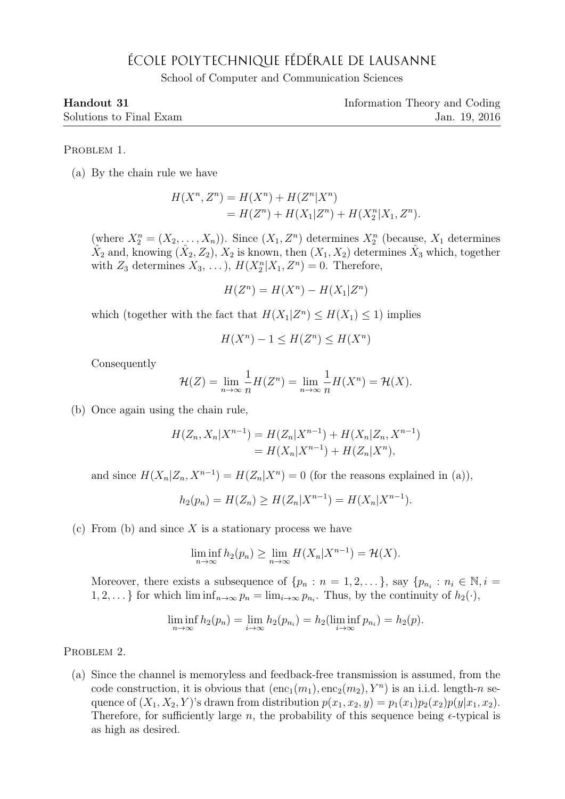## ÉCOLE POLYTECHNIQUE FÉDÉRALE DE LAUSANNE

School of Computer and Communication Sciences

| Handout 31 |  |
|------------|--|
|            |  |

Information Theory and Coding Solutions to Final Exam Jan. 19, 2016

PROBLEM 1.

(a) By the chain rule we have

$$
H(X^n, Z^n) = H(X^n) + H(Z^n|X^n)
$$
  
= 
$$
H(Z^n) + H(X_1|Z^n) + H(X_2^n|X_1, Z^n).
$$

(where  $X_2^n = (X_2, \ldots, X_n)$ ). Since  $(X_1, Z^n)$  determines  $X_2^n$  (because,  $X_1$  determines  $\hat{X}_2$  and, knowing  $(\hat{X}_2, Z_2), \hat{X}_2$  is known, then  $(X_1, X_2)$  determines  $\hat{X}_3$  which, together with  $Z_3$  determines  $X_3, \ldots$ ,  $H(X_2^n | X_1, Z^n) = 0$ . Therefore,

$$
H(Z^n) = H(X^n) - H(X_1|Z^n)
$$

which (together with the fact that  $H(X_1|Z^n) \le H(X_1) \le 1$ ) implies

$$
H(X^n) - 1 \le H(Z^n) \le H(X^n)
$$

Consequently

$$
\mathcal{H}(Z) = \lim_{n \to \infty} \frac{1}{n} H(Z^n) = \lim_{n \to \infty} \frac{1}{n} H(X^n) = \mathcal{H}(X).
$$

(b) Once again using the chain rule,

$$
H(Z_n, X_n | X^{n-1}) = H(Z_n | X^{n-1}) + H(X_n | Z_n, X^{n-1})
$$
  
=  $H(X_n | X^{n-1}) + H(Z_n | X^n),$ 

and since  $H(X_n | Z_n, X^{n-1}) = H(Z_n | X^n) = 0$  (for the reasons explained in (a)),

$$
h_2(p_n) = H(Z_n) \ge H(Z_n | X^{n-1}) = H(X_n | X^{n-1}).
$$

(c) From (b) and since  $X$  is a stationary process we have

$$
\liminf_{n\to\infty} h_2(p_n) \ge \lim_{n\to\infty} H(X_n|X^{n-1}) = \mathcal{H}(X).
$$

Moreover, there exists a subsequence of  $\{p_n : n = 1, 2, ...\}$ , say  $\{p_{n_i} : n_i \in \mathbb{N}, i =$  $1, 2, \ldots$ } for which  $\liminf_{n \to \infty} p_n = \lim_{i \to \infty} p_{n_i}$ . Thus, by the continuity of  $h_2(\cdot)$ ,

$$
\liminf_{n\to\infty} h_2(p_n) = \lim_{i\to\infty} h_2(p_{n_i}) = h_2(\liminf_{i\to\infty} p_{n_i}) = h_2(p).
$$

PROBLEM 2.

(a) Since the channel is memoryless and feedback-free transmission is assumed, from the code construction, it is obvious that  $(\text{enc}_1(m_1), \text{enc}_2(m_2), Y^n)$  is an i.i.d. length-n sequence of  $(X_1, X_2, Y)$ 's drawn from distribution  $p(x_1, x_2, y) = p_1(x_1)p_2(x_2)p(y|x_1, x_2)$ . Therefore, for sufficiently large n, the probability of this sequence being  $\epsilon$ -typical is as high as desired.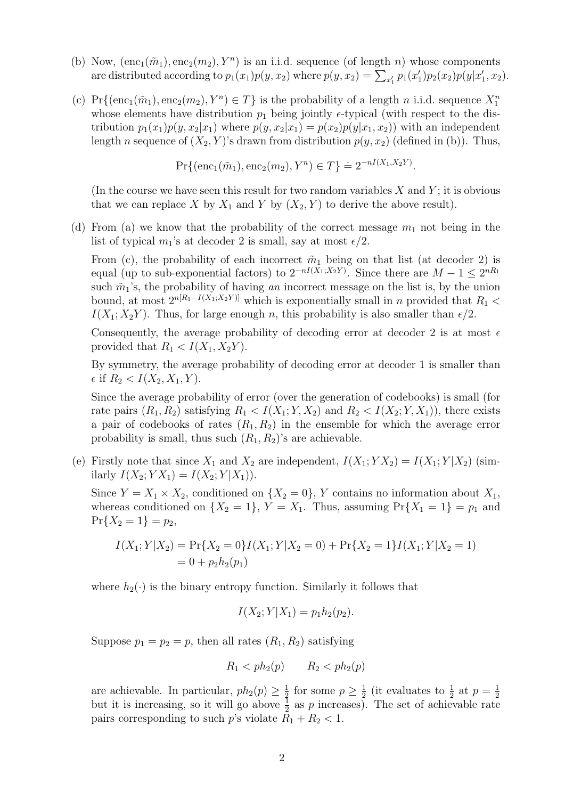- (b) Now,  $(\text{enc}_1(\tilde{m}_1), \text{enc}_2(m_2), Y^n)$  is an i.i.d. sequence (of length *n*) whose components are distributed according to  $p_1(x_1)p(y, x_2)$  where  $p(y, x_2) = \sum_{x_1'} p_1(x_1')p_2(x_2)p(y|x_1', x_2)$ .
- (c) Pr{ $(\text{enc}_1(\tilde{m}_1), \text{enc}_2(m_2), Y^n) \in T$ } is the probability of a length n i.i.d. sequence  $X_1^n$ whose elements have distribution  $p_1$  being jointly  $\epsilon$ -typical (with respect to the distribution  $p_1(x_1)p(y, x_2|x_1)$  where  $p(y, x_2|x_1) = p(x_2)p(y|x_1, x_2)$  with an independent length n sequence of  $(X_2, Y)$ 's drawn from distribution  $p(y, x_2)$  (defined in (b)). Thus,

 $Pr\{(\text{enc}_1(\tilde{m}_1), \text{enc}_2(m_2), Y^n) \in T\} = 2^{-nI(X_1, X_2Y)}$ .

(In the course we have seen this result for two random variables  $X$  and  $Y$ ; it is obvious that we can replace X by  $X_1$  and Y by  $(X_2, Y)$  to derive the above result).

(d) From (a) we know that the probability of the correct message  $m_1$  not being in the list of typical  $m_1$ 's at decoder 2 is small, say at most  $\epsilon/2$ .

From (c), the probability of each incorrect  $\tilde{m}_1$  being on that list (at decoder 2) is equal (up to sub-exponential factors) to  $2^{-nI(X_1;X_2Y)}$ . Since there are  $M-1 \leq 2^{nR_1}$ such  $\tilde{m}_1$ 's, the probability of having *an* incorrect message on the list is, by the union bound, at most  $2^{n[R_1-I(X_1;X_2Y)]}$  which is exponentially small in n provided that  $R_1$  <  $I(X_1; X_2Y)$ . Thus, for large enough n, this probability is also smaller than  $\epsilon/2$ .

Consequently, the average probability of decoding error at decoder 2 is at most  $\epsilon$ provided that  $R_1 < I(X_1, X_2Y)$ .

By symmetry, the average probability of decoding error at decoder 1 is smaller than  $\epsilon$  if  $R_2 < I(X_2, X_1, Y)$ .

Since the average probability of error (over the generation of codebooks) is small (for rate pairs  $(R_1, R_2)$  satisfying  $R_1 < I(X_1; Y, X_2)$  and  $R_2 < I(X_2; Y, X_1)$ , there exists a pair of codebooks of rates  $(R_1, R_2)$  in the ensemble for which the average error probability is small, thus such  $(R_1, R_2)$ 's are achievable.

(e) Firstly note that since  $X_1$  and  $X_2$  are independent,  $I(X_1; YX_2) = I(X_1; Y|X_2)$  (similarly  $I(X_2; YX_1) = I(X_2; Y|X_1)$ .

Since  $Y = X_1 \times X_2$ , conditioned on  $\{X_2 = 0\}$ , Y contains no information about  $X_1$ , whereas conditioned on  $\{X_2 = 1\}$ ,  $Y = X_1$ . Thus, assuming  $Pr\{X_1 = 1\} = p_1$  and  $Pr{X_2 = 1} = p_2,$ 

$$
I(X_1; Y | X_2) = \Pr\{X_2 = 0\} I(X_1; Y | X_2 = 0) + \Pr\{X_2 = 1\} I(X_1; Y | X_2 = 1)
$$
  
= 0 + p<sub>2</sub>h<sub>2</sub>(p<sub>1</sub>)

where  $h_2(\cdot)$  is the binary entropy function. Similarly it follows that

$$
I(X_2; Y|X_1) = p_1 h_2(p_2).
$$

Suppose  $p_1 = p_2 = p$ , then all rates  $(R_1, R_2)$  satisfying

$$
R_1 < ph_2(p) \qquad R_2 < ph_2(p)
$$

are achievable. In particular,  $ph_2(p) \geq \frac{1}{2}$  $\frac{1}{2}$  for some  $p \geq \frac{1}{2}$  $\frac{1}{2}$  (it evaluates to  $\frac{1}{2}$  at  $p = \frac{1}{2}$ but it is increasing, so it will go above  $\frac{1}{2}$  as p increases). The set of achievable rate pairs corresponding to such p's violate  $R_1 + R_2 < 1$ .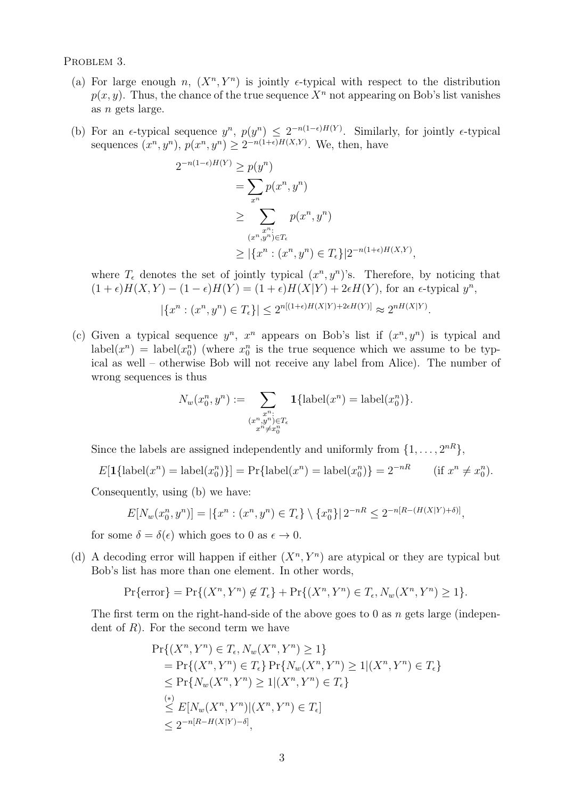PROBLEM 3.

- (a) For large enough n,  $(X^n, Y^n)$  is jointly e-typical with respect to the distribution  $p(x, y)$ . Thus, the chance of the true sequence  $X<sup>n</sup>$  not appearing on Bob's list vanishes as n gets large.
- (b) For an  $\epsilon$ -typical sequence  $y^n$ ,  $p(y^n) \leq 2^{-n(1-\epsilon)H(Y)}$ . Similarly, for jointly  $\epsilon$ -typical sequences  $(x^n, y^n)$ ,  $p(x^n, y^n) \geq 2^{-n(1+\epsilon)H(X,Y)}$ . We, then, have

$$
2^{-n(1-\epsilon)H(Y)} \ge p(y^n)
$$
  
= 
$$
\sum_{x^n} p(x^n, y^n)
$$
  

$$
\ge \sum_{\substack{x^n:\\(x^n, y^n) \in T_{\epsilon}}} p(x^n, y^n)
$$
  

$$
\ge |\{x^n : (x^n, y^n) \in T_{\epsilon}\}| 2^{-n(1+\epsilon)H(X,Y)},
$$

where  $T_{\epsilon}$  denotes the set of jointly typical  $(x^n, y^n)$ 's. Therefore, by noticing that  $(1+\epsilon)H(X,Y) - (1-\epsilon)H(Y) = (1+\epsilon)H(X|Y) + 2\epsilon H(Y)$ , for an  $\epsilon$ -typical  $y^n$ ,

$$
|\{x^n:(x^n,y^n)\in T_{\epsilon}\}|\le 2^{n[(1+\epsilon)H(X|Y)+2\epsilon H(Y)]}\approx 2^{nH(X|Y)}.
$$

(c) Given a typical sequence  $y^n$ ,  $x^n$  appears on Bob's list if  $(x^n, y^n)$  is typical and  $\text{label}(x^n) = \text{label}(x^n)$  (where  $x_0^n$  is the true sequence which we assume to be typical as well – otherwise Bob will not receive any label from Alice). The number of wrong sequences is thus

$$
N_w(x_0^n, y^n) := \sum_{\substack{x^n : \\ (x^n, y^n) \in T_{\epsilon} \\ x^n \neq x_0^n}} \mathbf{1}\{\text{label}(x^n) = \text{label}(x_0^n)\}.
$$

Since the labels are assigned independently and uniformly from  $\{1, \ldots, 2^{nR}\},$ 

 $E[\mathbf{1}\{\text{label}(x^n) = \text{label}(x^n)\}] = \Pr{\text{label}(x^n) = \text{label}(x^n)\} = 2^{-nR}$  (if  $x^n \neq x_0^n$ ).

Consequently, using (b) we have:

$$
E[N_w(x_0^n, y^n)] = |\{x^n : (x^n, y^n) \in T_{\epsilon}\} \setminus \{x_0^n\}| 2^{-nR} \le 2^{-n[R - (H(X|Y) + \delta)]},
$$

for some  $\delta = \delta(\epsilon)$  which goes to 0 as  $\epsilon \to 0$ .

(d) A decoding error will happen if either  $(X^n, Y^n)$  are atypical or they are typical but Bob's list has more than one element. In other words,

$$
\Pr\{\text{error}\} = \Pr\{(X^n, Y^n) \notin T_{\epsilon}\} + \Pr\{(X^n, Y^n) \in T_{\epsilon}, N_w(X^n, Y^n) \ge 1\}.
$$

The first term on the right-hand-side of the above goes to 0 as  $n$  gets large (independent of  $R$ ). For the second term we have

$$
\Pr\{(X^n, Y^n) \in T_{\epsilon}, N_w(X^n, Y^n) \ge 1\} \\
= \Pr\{(X^n, Y^n) \in T_{\epsilon}\} \Pr\{N_w(X^n, Y^n) \ge 1 | (X^n, Y^n) \in T_{\epsilon}\} \\
\le \Pr\{N_w(X^n, Y^n) \ge 1 | (X^n, Y^n) \in T_{\epsilon}\} \\
\stackrel{(*)}{\le} E[N_w(X^n, Y^n) | (X^n, Y^n) \in T_{\epsilon}] \\
\le 2^{-n[R - H(X|Y) - \delta]},
$$